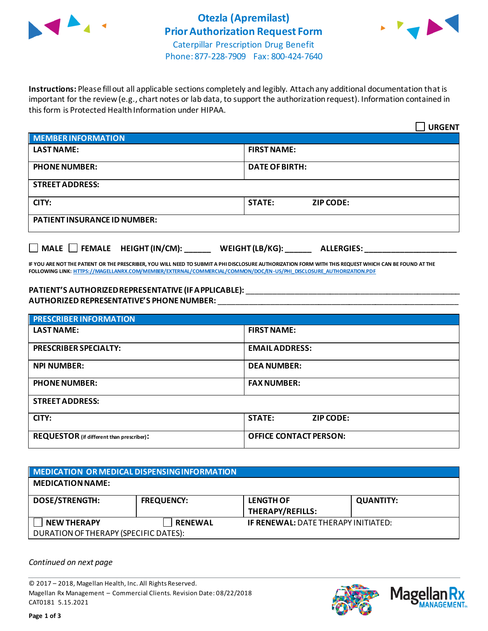



 $\overline{\phantom{0}}$ 

Phone: 877-228-7909 Fax: 800-424-7640

**Instructions:** Please fill out all applicable sections completely and legibly. Attach any additional documentation that is important for the review (e.g., chart notes or lab data, to support the authorization request). Information contained in this form is Protected Health Information under HIPAA.

|                                     | <b>URGENT</b>                     |  |  |  |
|-------------------------------------|-----------------------------------|--|--|--|
| <b>MEMBER INFORMATION</b>           |                                   |  |  |  |
| <b>LAST NAME:</b>                   | <b>FIRST NAME:</b>                |  |  |  |
| <b>PHONE NUMBER:</b>                | <b>DATE OF BIRTH:</b>             |  |  |  |
| <b>STREET ADDRESS:</b>              |                                   |  |  |  |
| CITY:                               | <b>STATE:</b><br><b>ZIP CODE:</b> |  |  |  |
| <b>PATIENT INSURANCE ID NUMBER:</b> |                                   |  |  |  |

**MALE FEMALE HEIGHT (IN/CM): \_\_\_\_\_\_ WEIGHT (LB/KG): \_\_\_\_\_\_ ALLERGIES: \_\_\_\_\_\_\_\_\_\_\_\_\_\_\_\_\_\_\_\_\_**

**IF YOU ARE NOT THE PATIENT OR THE PRESCRIBER, YOU WILL NEED TO SUBMIT A PHI DISCLOSURE AUTHORIZATION FORM WITH THIS REQUEST WHICH CAN BE FOUND AT THE FOLLOWING LINK[: HTTPS://MAGELLANRX.COM/MEMBER/EXTERNAL/COMMERCIAL/COMMON/DOC/EN-US/PHI\\_DISCLOSURE\\_AUTHORIZATION.PDF](https://magellanrx.com/member/external/commercial/common/doc/en-us/PHI_Disclosure_Authorization.pdf)**

## **PATIENT'S AUTHORIZED REPRESENTATIVE (IF APPLICABLE):** \_\_\_\_\_\_\_\_\_\_\_\_\_\_\_\_\_\_\_\_\_\_\_\_\_\_\_\_\_\_\_\_\_\_\_\_\_\_\_\_\_\_\_\_\_\_\_\_\_ **AUTHORIZED REPRESENTATIVE'S PHONE NUMBER:** \_\_\_\_\_\_\_\_\_\_\_\_\_\_\_\_\_\_\_\_\_\_\_\_\_\_\_\_\_\_\_\_\_\_\_\_\_\_\_\_\_\_\_\_\_\_\_\_\_\_\_\_\_\_\_

| <b>PRESCRIBER INFORMATION</b>             |                                   |  |  |  |
|-------------------------------------------|-----------------------------------|--|--|--|
| <b>LAST NAME:</b>                         | <b>FIRST NAME:</b>                |  |  |  |
| <b>PRESCRIBER SPECIALTY:</b>              | <b>EMAILADDRESS:</b>              |  |  |  |
| <b>NPI NUMBER:</b>                        | <b>DEA NUMBER:</b>                |  |  |  |
| <b>PHONE NUMBER:</b>                      | <b>FAX NUMBER:</b>                |  |  |  |
| <b>STREET ADDRESS:</b>                    |                                   |  |  |  |
| CITY:                                     | <b>STATE:</b><br><b>ZIP CODE:</b> |  |  |  |
| REQUESTOR (if different than prescriber): | <b>OFFICE CONTACT PERSON:</b>     |  |  |  |

| MEDICATION OR MEDICAL DISPENSING INFORMATION                |                   |                                             |                  |  |  |
|-------------------------------------------------------------|-------------------|---------------------------------------------|------------------|--|--|
| <b>MEDICATION NAME:</b>                                     |                   |                                             |                  |  |  |
| <b>DOSE/STRENGTH:</b>                                       | <b>FREQUENCY:</b> | <b>LENGTH OF</b><br><b>THERAPY/REFILLS:</b> | <b>QUANTITY:</b> |  |  |
| <b>NEW THERAPY</b><br>DURATION OF THERAPY (SPECIFIC DATES): | <b>RENEWAL</b>    | <b>IF RENEWAL: DATE THERAPY INITIATED:</b>  |                  |  |  |

*Continued on next page*

© 2017 – 2018, Magellan Health, Inc. All Rights Reserved. Magellan Rx Management – Commercial Clients. Revision Date: 08/22/2018 CAT0181 5.15.2021



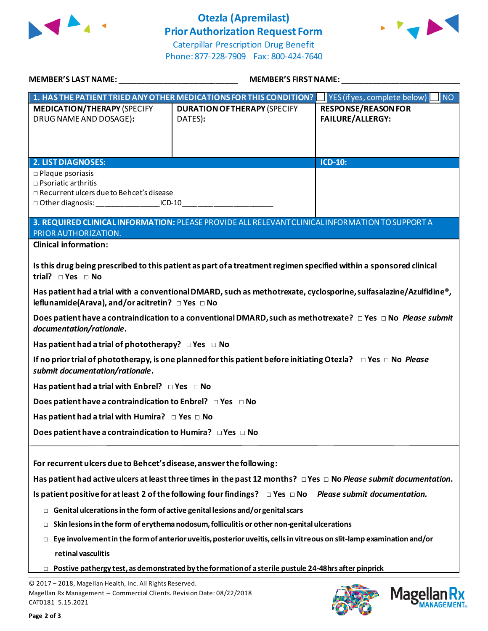

## **Otezla (Apremilast) Prior Authorization Request Form**



Caterpillar Prescription Drug Benefit Phone: 877-228-7909 Fax: 800-424-7640

| MEMBER'S LAST NAME: THE STATE OF THE STATE OF THE STATE OF THE STATE OF THE STATE OF THE STATE OF THE STATE OF                                                                               | <b>MEMBER'S FIRST NAME:</b>                                                                                            |                                                          |  |  |
|----------------------------------------------------------------------------------------------------------------------------------------------------------------------------------------------|------------------------------------------------------------------------------------------------------------------------|----------------------------------------------------------|--|--|
|                                                                                                                                                                                              | 1. HAS THE PATIENT TRIED ANY OTHER MEDICATIONS FOR THIS CONDITION?                                                     | $\blacksquare$ YES (if yes, complete below)<br><b>NO</b> |  |  |
| <b>MEDICATION/THERAPY (SPECIFY</b><br>DRUG NAME AND DOSAGE):                                                                                                                                 | <b>DURATION OF THERAPY (SPECIFY</b><br>DATES):                                                                         | <b>RESPONSE/REASON FOR</b><br><b>FAILURE/ALLERGY:</b>    |  |  |
| <b>2. LIST DIAGNOSES:</b>                                                                                                                                                                    |                                                                                                                        | ICD-10:                                                  |  |  |
| $\square$ Plaque psoriasis<br>$\square$ Psoriatic arthritis<br>□ Recurrent ulcers due to Behcet's disease<br>□ Other diagnosis: ____________________ICD-10__________________________________ |                                                                                                                        |                                                          |  |  |
|                                                                                                                                                                                              | 3. REQUIRED CLINICAL INFORMATION: PLEASE PROVIDE ALL RELEVANT CLINICAL INFORMATION TO SUPPORT A                        |                                                          |  |  |
| PRIOR AUTHORIZATION.                                                                                                                                                                         |                                                                                                                        |                                                          |  |  |
| <b>Clinical information:</b>                                                                                                                                                                 |                                                                                                                        |                                                          |  |  |
| Is this drug being prescribed to this patient as part of a treatment regimen specified within a sponsored clinical<br>trial? $\square$ Yes $\square$ No                                      |                                                                                                                        |                                                          |  |  |
| Has patient had a trial with a conventional DMARD, such as methotrexate, cyclosporine, sulfasalazine/Azulfidine®,<br>leflunamide(Arava), and/or acitretin? □ Yes □ No                        |                                                                                                                        |                                                          |  |  |
| documentation/rationale.                                                                                                                                                                     | Does patient have a contraindication to a conventional DMARD, such as methotrexate? $\Box$ Yes $\Box$ No Please submit |                                                          |  |  |
| Has patient had a trial of phototherapy? $\Box$ Yes $\Box$ No                                                                                                                                |                                                                                                                        |                                                          |  |  |
| If no prior trial of phototherapy, is one planned for this patient before initiating Otezla? $\Box$ Yes $\Box$ No <i>Please</i><br>submit documentation/rationale.                           |                                                                                                                        |                                                          |  |  |
| Has patient had a trial with Enbrel? $\Box$ Yes $\Box$ No                                                                                                                                    |                                                                                                                        |                                                          |  |  |
| Does patient have a contraindication to Enbrel? $\Box$ Yes $\Box$ No                                                                                                                         |                                                                                                                        |                                                          |  |  |
| Has patient had a trial with Humira? $\Box$ Yes $\Box$ No                                                                                                                                    |                                                                                                                        |                                                          |  |  |
| Does patient have a contraindication to Humira? DYes DNo                                                                                                                                     |                                                                                                                        |                                                          |  |  |
| For recurrent ulcers due to Behcet's disease, answer the following:                                                                                                                          |                                                                                                                        |                                                          |  |  |
| Has patient had active ulcers at least three times in the past 12 months? $\Box$ Yes $\Box$ No Please submit documentation.                                                                  |                                                                                                                        |                                                          |  |  |
| Is patient positive for at least 2 of the following four findings? $\Box$ Yes $\Box$ No Please submit documentation.                                                                         |                                                                                                                        |                                                          |  |  |
| Genital ulcerations in the form of active genital lesions and/or genital scars<br>$\Box$                                                                                                     |                                                                                                                        |                                                          |  |  |
| Skin lesions in the form of erythema nodosum, folliculitis or other non-genital ulcerations<br>□                                                                                             |                                                                                                                        |                                                          |  |  |
| Eye involvement in the form of anterior uveitis, posterior uveitis, cells in vitreous on slit-lamp examination and/or<br>$\Box$                                                              |                                                                                                                        |                                                          |  |  |
| retinal vasculitis                                                                                                                                                                           |                                                                                                                        |                                                          |  |  |
| Postive pathergy test, as demonstrated by the formation of a sterile pustule 24-48hrs after pinprick<br>$\Box$                                                                               |                                                                                                                        |                                                          |  |  |
| © 2017 - 2018, Magellan Health, Inc. All Rights Reserved.                                                                                                                                    |                                                                                                                        |                                                          |  |  |

018, Magellan Health, Inc. All Rights Rese! Magellan Rx Management – Commercial Clients. Revision Date: 08/22/2018 CAT0181 5.15.2021



Magellan Rx